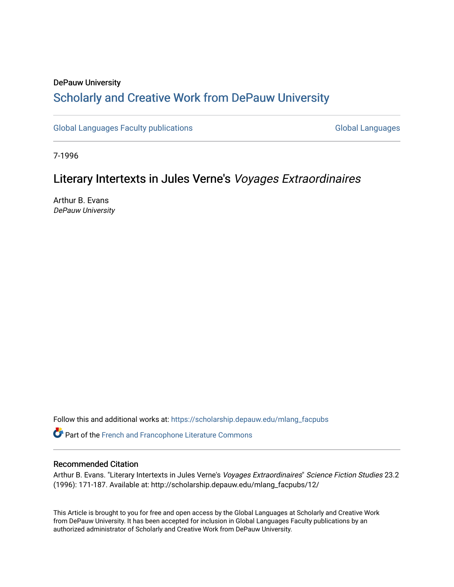# DePauw University Scholarly and [Creative Work from DePauw Univ](https://scholarship.depauw.edu/)ersity

[Global Languages Faculty publications](https://scholarship.depauw.edu/mlang_facpubs) [Global Languages](https://scholarship.depauw.edu/modernlanguages) Global Languages

7-1996

# Literary Intertexts in Jules Verne's Voyages Extraordinaires

Arthur B. Evans DePauw University

Follow this and additional works at: [https://scholarship.depauw.edu/mlang\\_facpubs](https://scholarship.depauw.edu/mlang_facpubs?utm_source=scholarship.depauw.edu%2Fmlang_facpubs%2F12&utm_medium=PDF&utm_campaign=PDFCoverPages)

Part of the [French and Francophone Literature Commons](https://network.bepress.com/hgg/discipline/465?utm_source=scholarship.depauw.edu%2Fmlang_facpubs%2F12&utm_medium=PDF&utm_campaign=PDFCoverPages) 

## Recommended Citation

Arthur B. Evans. "Literary Intertexts in Jules Verne's Voyages Extraordinaires" Science Fiction Studies 23.2 (1996): 171-187. Available at: http://scholarship.depauw.edu/mlang\_facpubs/12/

This Article is brought to you for free and open access by the Global Languages at Scholarly and Creative Work from DePauw University. It has been accepted for inclusion in Global Languages Faculty publications by an authorized administrator of Scholarly and Creative Work from DePauw University.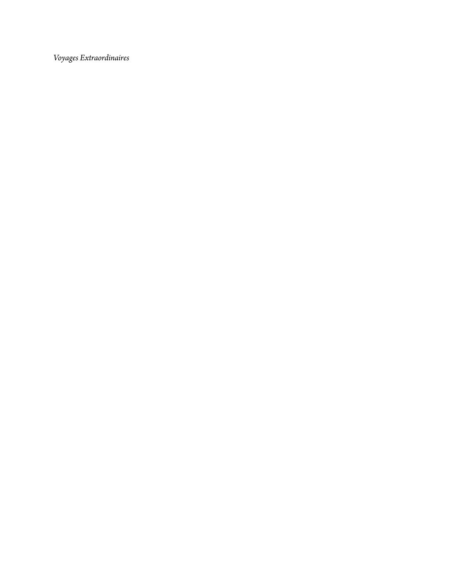*Voyages Extraordinaires*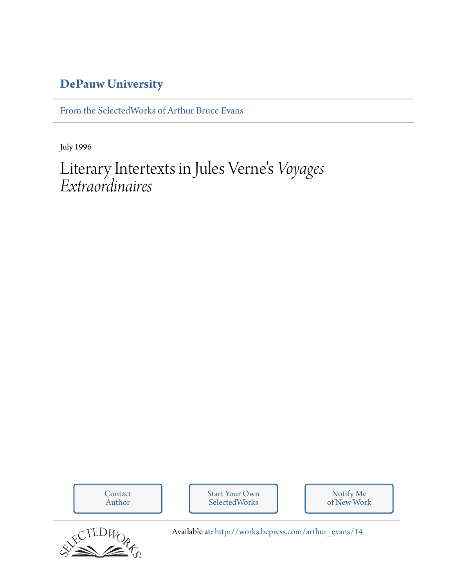# **[DePauw University](http://depauw.edu)**

[From the SelectedWorks of Arthur Bruce Evans](http://works.bepress.com/arthur_evans)

July 1996

## Literary Intertexts in Jules Verne ' s *Voyages Extraordinaires*

[Contact](http://works.bepress.com/arthur_evans/contact.html) [Start Your Own](http://works.bepress.com/cgi/sw_user_setup.cgi) Notify Me [of New Work](http://works.bepress.com/arthur_evans) Author **SelectedWorks** SCTEDWOR Available at: [http://works.bepress.com/arthur\\_evans/14](http://works.bepress.com/arthur_evans/14)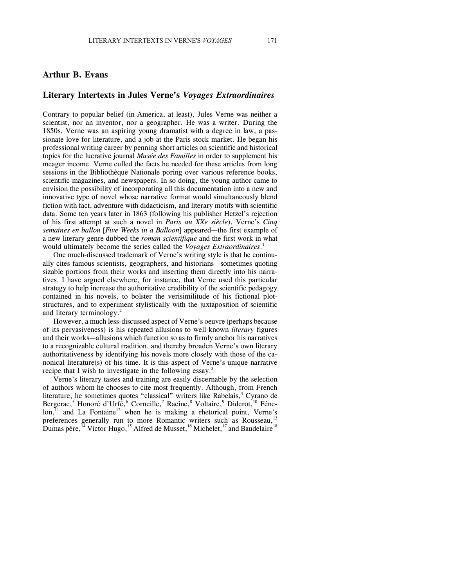## **Arthur B. Evans**

### **Literary Intertexts in Jules Verne's** *Voyages Extraordinaires*

Contrary to popular belief (in America, at least), Jules Verne was neither a scientist, nor an inventor, nor a geographer. He was a writer. During the 1850s, Verne was an aspiring young dramatist with a degree in law, a passionate love for literature, and a job at the Paris stock market. He began his professional writing career by penning short articles on scientific and historical topics for the lucrative journal *Musée des Familles* in order to supplement his meager income. Verne culled the facts he needed for these articles from long sessions in the Bibliothèque Nationale poring over various reference books, scientific magazines, and newspapers. In so doing, the young author came to envision the possibility of incorporating all this documentation into a new and innovative type of novel whose narrative format would simultaneously blend fiction with fact, adventure with didacticism, and literary motifs with scientific data. Some ten years later in 1863 (following his publisher Hetzel's rejection of his first attempt at such a novel in *Paris au XXe siècle*), Verne's *Cinq semaines en ballon* [*Five Weeks in a Balloon*] appeared—the first example of a new literary genre dubbed the *roman scientifique* and the first work in what would ultimately become the series called the *Voyages Extraordinaires*. 1

One much-discussed trademark of Verne's writing style is that he continually cites famous scientists, geographers, and historians—sometimes quoting sizable portions from their works and inserting them directly into his narratives. I have argued elsewhere, for instance, that Verne used this particular strategy to help increase the authoritative credibility of the scientific pedagogy contained in his novels, to bolster the verisimilitude of his fictional plotstructures, and to experiment stylistically with the juxtaposition of scientific and literary terminology. 2

However, a much less-discussed aspect of Verne's oeuvre (perhaps because of its pervasiveness) is his repeated allusions to well-known *literary* figures and their works—allusions which function so as to firmly anchor his narratives to a recognizable cultural tradition, and thereby broaden Verne's own literary authoritativeness by identifying his novels more closely with those of the canonical literature(s) of his time. It is this aspect of Verne's unique narrative recipe that I wish to investigate in the following essay.<sup>3</sup>

Verne's literary tastes and training are easily discernable by the selection of authors whom he chooses to cite most frequently. Although, from French literature, he sometimes quotes "classical" writers like Rabelais,<sup>4</sup> Cyrano de Bergerac,<sup>5</sup> Honoré d'Urfé,<sup>6</sup> Corneille,<sup>7</sup> Racine,<sup>8</sup> Voltaire,<sup>9</sup> Diderot,<sup>10</sup> Féne $lon<sub>11</sub>$  and La Fontaine<sup>12</sup> when he is making a rhetorical point, Verne's preferences generally run to more Romantic writers such as Rousseau,<sup>13</sup> Dumas père,  $^{14}$  Victor Hugo,  $^{15}$  Alfred de Musset,  $^{16}$  Michelet,  $^{17}$  and Baudelaire $^{18}$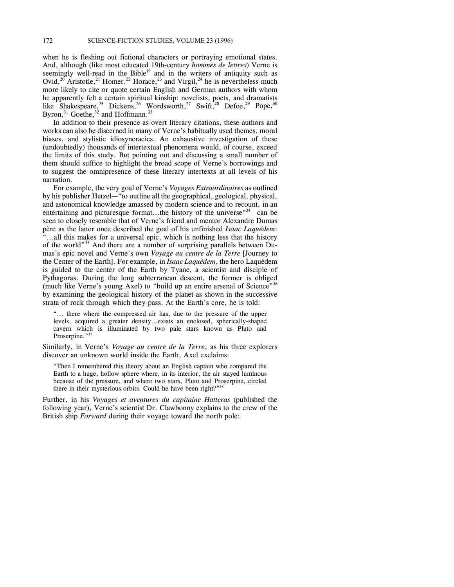when he is fleshing out fictional characters or portraying emotional states. And, although (like most educated 19th-century *hommes de lettres*) Verne is seemingly well-read in the Bible<sup>19</sup> and in the writers of antiquity such as Ovid,<sup>20</sup> Aristotle,<sup>21</sup> Homer,<sup>22</sup> Horace,<sup>23</sup> and Virgil,<sup>24</sup> he is nevertheless much more likely to cite or quote certain English and German authors with whom he apparently felt a certain spiritual kinship: novelists, poets, and dramatists like Shakespeare,<sup>25</sup> Dickens,<sup>26</sup> Wordsworth,<sup>27</sup> Swift,<sup>28</sup> Defoe,<sup>29</sup> Pope,<sup>30</sup> Byron, $31$  Goethe, $32$  and Hoffmann.<sup>33</sup>

In addition to their presence as overt literary citations, these authors and works can also be discerned in many of Verne's habitually used themes, moral biases, and stylistic idiosyncracies. An exhaustive investigation of these (undoubtedly) thousands of intertextual phenomena would, of course, exceed the limits of this study. But pointing out and discussing a small number of them should suffice to highlight the broad scope of Verne's borrowings and to suggest the omnipresence of these literary intertexts at all levels of his narration.

For example, the very goal of Verne's *Voyages Extraordinaires* as outlined by his publisher Hetzel—"to outline all the geographical, geological, physical, and astonomical knowledge amassed by modern science and to recount, in an entertaining and picturesque format...the history of the universe<sup>"34</sup>—can be seen to closely resemble that of Verne's friend and mentor Alexandre Dumas père as the latter once described the goal of his unfinished *Isaac Laquédem*: "...all this makes for a universal epic, which is nothing less that the history of the world"<sup>35</sup> And there are a number of surprising parallels between Dumas's epic novel and Verne's own *Voyage au centre de la Terre* [Journey to the Center of the Earth]. For example, in *Isaac Laquédem*, the hero Laquédem is guided to the center of the Earth by Tyane, a scientist and disciple of Pythagoras. During the long subterranean descent, the former is obliged (much like Verne's young Axel) to "build up an entire arsenal of Science"<sup>36</sup> by examining the geological history of the planet as shown in the successive strata of rock through which they pass. At the Earth's core, he is told:

"... there where the compressed air has, due to the pressure of the upper levels, acquired a greater density...exists an enclosed, spherically-shaped cavern which is illuminated by two pale stars known as Pluto and Proserpine."37

Similarly, in Verne's *Voyage au centre de la Terre*, as his three explorers discover an unknown world inside the Earth, Axel exclaims:

"Then I remembered this theory about an English captain who compared the Earth to a huge, hollow sphere where, in its interior, the air stayed luminous because of the pressure, and where two stars, Pluto and Proserpine, circled there in their mysterious orbits. Could he have been right?"<sup>38</sup>

Further, in his *Voyages et aventures du capitaine Hatteras* (published the following year), Verne's scientist Dr. Clawbonny explains to the crew of the British ship *Forward* during their voyage toward the north pole: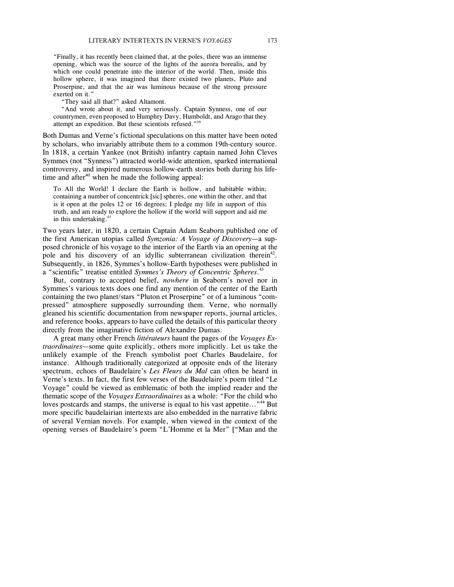"Finally, it has recently been claimed that, at the poles, there was an immense opening, which was the source of the lights of the aurora borealis, and by which one could penetrate into the interior of the world. Then, inside this hollow sphere, it was imagined that there existed two planets, Pluto and Proserpine, and that the air was luminous because of the strong pressure exerted on it."

"They said all that?" asked Altamont.

"And wrote about it, and very seriously. Captain Synness, one of our countrymen, even proposed to Humphry Davy, Humboldt, and Arago that they attempt an expedition. But these scientists refused."<sup>39</sup>

Both Dumas and Verne's fictional speculations on this matter have been noted by scholars, who invariably attribute them to a common 19th-century source. In 1818, a certain Yankee (not British) infantry captain named John Cleves Symmes (not "Synness") attracted world-wide attention, sparked international controversy, and inspired numerous hollow-earth stories both during his lifetime and after $40$  when he made the following appeal:

To All the World! I declare the Earth is hollow, and habitable within; containing a number of concentrick [sic] spheres, one within the other, and that is it open at the poles 12 or 16 degrees; I pledge my life in support of this truth, and am ready to explore the hollow if the world will support and aid me in this undertaking.<sup>41</sup>

Two years later, in 1820, a certain Captain Adam Seaborn published one of the first American utopias called *Symzonia: A Voyage of Discovery*—a supposed chronicle of his voyage to the interior of the Earth via an opening at the pole and his discovery of an idyllic subterranean civilization therein<sup>42</sup>. Subsequently, in 1826, Symmes's hollow-Earth hypotheses were published in a "scientific" treatise entitled *Symmes's Theory of Concentric Spheres*. 43

But, contrary to accepted belief, *nowhere* in Seaborn's novel nor in Symmes's various texts does one find any mention of the center of the Earth containing the two planet/stars "Pluton et Proserpine" or of a luminous "compressed" atmosphere supposedly surrounding them. Verne, who normally gleaned his scientific documentation from newspaper reports, journal articles, and reference books, appears to have culled the details of this particular theory directly from the imaginative fiction of Alexandre Dumas.

A great many other French *littérateurs* haunt the pages of the *Voyages Extraordinaires*—some quite explicitly, others more implicitly. Let us take the unlikely example of the French symbolist poet Charles Baudelaire, for instance. Although traditionally categorized at opposite ends of the literary spectrum, echoes of Baudelaire's *Les Fleurs du Mal* can often be heard in Verne's texts. In fact, the first few verses of the Baudelaire's poem titled "Le Voyage" could be viewed as emblematic of both the implied reader and the thematic scope of the *Voyages Extraordinaires* as a whole: "For the child who loves postcards and stamps, the universe is equal to his vast appetite..."<sup>44</sup> But more specific baudelairian intertexts are also embedded in the narrative fabric of several Vernian novels. For example, when viewed in the context of the opening verses of Baudelaire's poem "L'Homme et la Mer" ["Man and the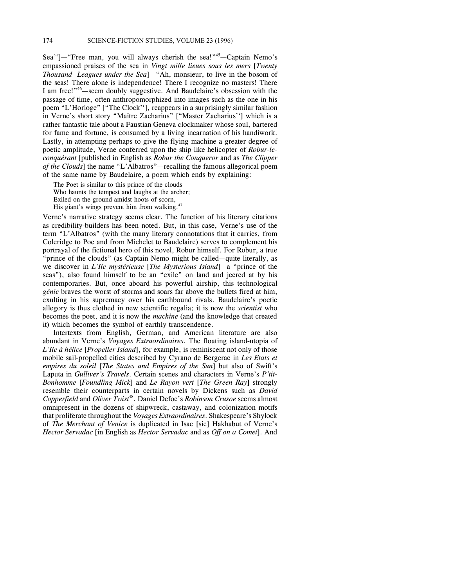Sea'']—"Free man, you will always cherish the sea!"<sup>45</sup>—Captain Nemo's empassioned praises of the sea in *Vingt mille lieues sous les mers* [*Twenty Thousand Leagues under the Sea*]—"Ah, monsieur, to live in the bosom of the seas! There alone is independence! There I recognize no masters! There I am free!"<sup>46</sup>—seem doubly suggestive. And Baudelaire's obsession with the passage of time, often anthropomorphized into images such as the one in his poem "L'Horloge" ["The Clock''], reappears in a surprisingly similar fashion in Verne's short story "Maître Zacharius" ["Master Zacharius''] which is a rather fantastic tale about a Faustian Geneva clockmaker whose soul, bartered for fame and fortune, is consumed by a living incarnation of his handiwork. Lastly, in attempting perhaps to give the flying machine a greater degree of poetic amplitude, Verne conferred upon the ship-like helicopter of *Robur-leconquérant* [published in English as *Robur the Conqueror* and as *The Clipper of the Clouds*] the name "L'Albatros"—recalling the famous allegorical poem of the same name by Baudelaire, a poem which ends by explaining:

The Poet is similar to this prince of the clouds Who haunts the tempest and laughs at the archer; Exiled on the ground amidst hoots of scorn, His giant's wings prevent him from walking.<sup>47</sup>

Verne's narrative strategy seems clear. The function of his literary citations as credibility-builders has been noted. But, in this case, Verne's use of the term "L'Albatros" (with the many literary connotations that it carries, from Coleridge to Poe and from Michelet to Baudelaire) serves to complement his portrayal of the fictional hero of this novel, Robur himself. For Robur, a true "prince of the clouds" (as Captain Nemo might be called—quite literally, as we discover in *L'Ile mystérieuse* [*The Mysterious Island*]—a "prince of the seas"), also found himself to be an "exile" on land and jeered at by his contemporaries. But, once aboard his powerful airship, this technological *génie* braves the worst of storms and soars far above the bullets fired at him, exulting in his supremacy over his earthbound rivals. Baudelaire's poetic allegory is thus clothed in new scientific regalia; it is now the *scientist* who becomes the poet, and it is now the *machine* (and the knowledge that created it) which becomes the symbol of earthly transcendence.

Intertexts from English, German, and American literature are also abundant in Verne's *Voyages Extraordinaires*. The floating island-utopia of *L'Ile à hélice* [*Propeller Island*], for example, is reminiscent not only of those mobile sail-propelled cities described by Cyrano de Bergerac in *Les Etats et empires du soleil* [*The States and Empires of the Sun*] but also of Swift's Laputa in *Gulliver's Travels*. Certain scenes and characters in Verne's *P'tit-Bonhomme* [*Foundling Mick*] and *Le Rayon vert* [*The Green Ray*] strongly resemble their counterparts in certain novels by Dickens such as *David Copperfield* and *Oliver Twist*<sup>48</sup> . Daniel Defoe's *Robinson Crusoe* seems almost omnipresent in the dozens of shipwreck, castaway, and colonization motifs that proliferate throughout the *Voyages Extraordinaires*. Shakespeare's Shylock of *The Merchant of Venice* is duplicated in Isac [sic] Hakhabut of Verne's *Hector Servadac* [in English as *Hector Servadac* and as *Off on a Comet*]. And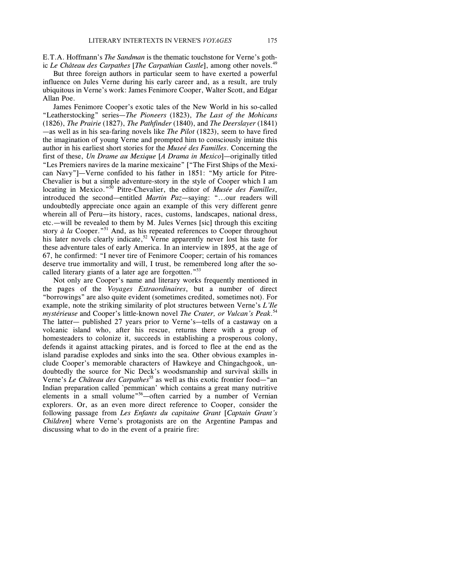E.T.A. Hoffmann's *The Sandman* is the thematic touchstone for Verne's gothic *Le Château des Carpathes* [*The Carpathian Castle*], among other novels.<sup>49</sup>

But three foreign authors in particular seem to have exerted a powerful influence on Jules Verne during his early career and, as a result, are truly ubiquitous in Verne's work: James Fenimore Cooper, Walter Scott, and Edgar Allan Poe.

James Fenimore Cooper's exotic tales of the New World in his so-called "Leatherstocking" series—*The Pioneers* (1823), *The Last of the Mohicans* (1826), *The Prairie* (1827), *The Pathfinder* (1840), and *The Deerslayer* (1841) —as well as in his sea-faring novels like *The Pilot* (1823), seem to have fired the imagination of young Verne and prompted him to consciously imitate this author in his earliest short stories for the *Museé des Familles*. Concerning the first of these, *Un Drame au Mexique* [*A Drama in Mexico*]—originally titled "Les Premiers navires de la marine mexicaine" ["The First Ships of the Mexican Navy"]—Verne confided to his father in 1851: "My article for Pitre-Chevalier is but a simple adventure-story in the style of Cooper which I am locating in Mexico."<sup>50</sup> Pitre-Chevalier, the editor of *Musée des Familles*, introduced the second—entitled *Martin Paz*—saying: "...our readers will undoubtedly appreciate once again an example of this very different genre wherein all of Peru—its history, races, customs, landscapes, national dress, etc.—will be revealed to them by M. Jules Vernes [sic] through this exciting story *à la* Cooper.<sup>"51</sup> And, as his repeated references to Cooper throughout his later novels clearly indicate,<sup>52</sup> Verne apparently never lost his taste for these adventure tales of early America. In an interview in 1895, at the age of 67, he confirmed: "I never tire of Fenimore Cooper; certain of his romances deserve true immortality and will, I trust, be remembered long after the socalled literary giants of a later age are forgotten."<sup>53</sup>

Not only are Cooper's name and literary works frequently mentioned in the pages of the *Voyages Extraordinaires*, but a number of direct "borrowings" are also quite evident (sometimes credited, sometimes not). For example, note the striking similarity of plot structures between Verne's *L'Ile mystérieuse* and Cooper's little-known novel *The Crater, or Vulcan's Peak*. 54 The latter— published 27 years prior to Verne's—tells of a castaway on a volcanic island who, after his rescue, returns there with a group of homesteaders to colonize it, succeeds in establishing a prosperous colony, defends it against attacking pirates, and is forced to flee at the end as the island paradise explodes and sinks into the sea. Other obvious examples include Cooper's memorable characters of Hawkeye and Chingachgook, undoubtedly the source for Nic Deck's woodsmanship and survival skills in Verne's *Le Château des Carpathes*<sup>55</sup> as well as this exotic frontier food—"an Indian preparation called `pemmican' which contains a great many nutritive elements in a small volume<sup>756</sup>—often carried by a number of Vernian explorers. Or, as an even more direct reference to Cooper, consider the following passage from *Les Enfants du capitaine Grant* [*Captain Grant's Children*] where Verne's protagonists are on the Argentine Pampas and discussing what to do in the event of a prairie fire: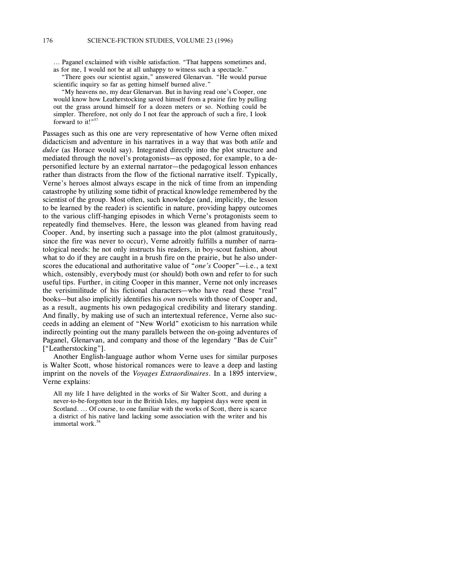... Paganel exclaimed with visible satisfaction. "That happens sometimes and, as for me, I would not be at all unhappy to witness such a spectacle."

"There goes our scientist again," answered Glenarvan. "He would pursue scientific inquiry so far as getting himself burned alive."

"My heavens no, my dear Glenarvan. But in having read one's Cooper, one would know how Leatherstocking saved himself from a prairie fire by pulling out the grass around himself for a dozen meters or so. Nothing could be simpler. Therefore, not only do I not fear the approach of such a fire, I look forward to it!" $5$ 

Passages such as this one are very representative of how Verne often mixed didacticism and adventure in his narratives in a way that was both *utile* and *dulce* (as Horace would say). Integrated directly into the plot structure and mediated through the novel's protagonists—as opposed, for example, to a depersonified lecture by an external narrator—the pedagogical lesson enhances rather than distracts from the flow of the fictional narrative itself. Typically, Verne's heroes almost always escape in the nick of time from an impending catastrophe by utilizing some tidbit of practical knowledge remembered by the scientist of the group. Most often, such knowledge (and, implicitly, the lesson to be learned by the reader) is scientific in nature, providing happy outcomes to the various cliff-hanging episodes in which Verne's protagonists seem to repeatedly find themselves. Here, the lesson was gleaned from having read Cooper. And, by inserting such a passage into the plot (almost gratuitously, since the fire was never to occur), Verne adroitly fulfills a number of narratological needs: he not only instructs his readers, in boy-scout fashion, about what to do if they are caught in a brush fire on the prairie, but he also underscores the educational and authoritative value of "*one's* Cooper"—i.e., a text which, ostensibly, everybody must (or should) both own and refer to for such useful tips. Further, in citing Cooper in this manner, Verne not only increases the verisimilitude of his fictional characters—who have read these "real" books—but also implicitly identifies his *own* novels with those of Cooper and, as a result, augments his own pedagogical credibility and literary standing. And finally, by making use of such an intertextual reference, Verne also succeeds in adding an element of "New World" exoticism to his narration while indirectly pointing out the many parallels between the on-going adventures of Paganel, Glenarvan, and company and those of the legendary "Bas de Cuir" ["Leatherstocking"].

Another English-language author whom Verne uses for similar purposes is Walter Scott, whose historical romances were to leave a deep and lasting imprint on the novels of the *Voyages Extraordinaires*. In a 1895 interview, Verne explains:

All my life I have delighted in the works of Sir Walter Scott, and during a never-to-be-forgotten tour in the British Isles, my happiest days were spent in Scotland. ... Of course, to one familiar with the works of Scott, there is scarce a district of his native land lacking some association with the writer and his immortal work. 58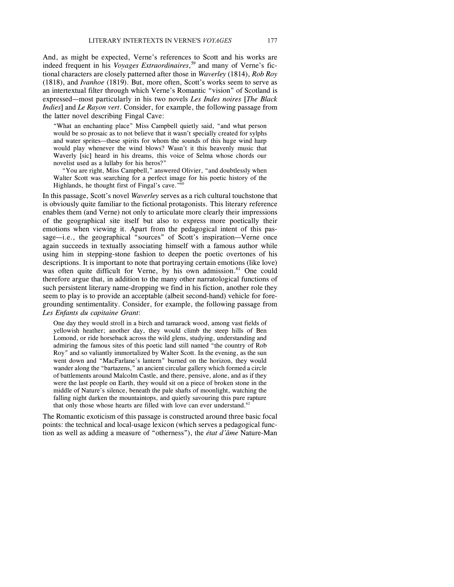And, as might be expected, Verne's references to Scott and his works are indeed frequent in his *Voyages Extraordinaires*, <sup>59</sup> and many of Verne's fictional characters are closely patterned after those in *Waverley* (1814), *Rob Roy* (1818), and *Ivanhoe* (1819). But, more often, Scott's works seem to serve as an intertextual filter through which Verne's Romantic "vision" of Scotland is expressed—most particularly in his two novels *Les Indes noires* [*The Black Indies*] and *Le Rayon vert*. Consider, for example, the following passage from the latter novel describing Fingal Cave:

"What an enchanting place" Miss Campbell quietly said, "and what person would be so prosaic as to not believe that it wasn't specially created for sylphs and water sprites—these spirits for whom the sounds of this huge wind harp would play whenever the wind blows? Wasn't it this heavenly music that Waverly [sic] heard in his dreams, this voice of Selma whose chords our novelist used as a lullaby for his heros?"

"You are right, Miss Campbell," answered Olivier, "and doubtlessly when Walter Scott was searching for a perfect image for his poetic history of the Highlands, he thought first of Fingal's cave."<sup>60</sup>

In this passage, Scott's novel *Waverley* serves as a rich cultural touchstone that is obviously quite familiar to the fictional protagonists. This literary reference enables them (and Verne) not only to articulate more clearly their impressions of the geographical site itself but also to express more poetically their emotions when viewing it. Apart from the pedagogical intent of this passage—i.e., the geographical "sources" of Scott's inspiration—Verne once again succeeds in textually associating himself with a famous author while using him in stepping-stone fashion to deepen the poetic overtones of his descriptions. It is important to note that portraying certain emotions (like love) was often quite difficult for Verne, by his own admission. <sup>61</sup> One could therefore argue that, in addition to the many other narratological functions of such persistent literary name-dropping we find in his fiction, another role they seem to play is to provide an acceptable (albeit second-hand) vehicle for foregrounding sentimentality. Consider, for example, the following passage from *Les Enfants du capitaine Grant*:

One day they would stroll in a birch and tamarack wood, among vast fields of yellowish heather; another day, they would climb the steep hills of Ben Lomond, or ride horseback across the wild glens, studying, understanding and admiring the famous sites of this poetic land still named "the country of Rob Roy" and so valiantly immortalized by Walter Scott. In the evening, as the sun went down and "MacFarlane's lantern" burned on the horizon, they would wander along the "bartazens," an ancient circular gallery which formed a circle of battlements around Malcolm Castle, and there, pensive, alone, and as if they were the last people on Earth, they would sit on a piece of broken stone in the middle of Nature's silence, beneath the pale shafts of moonlight, watching the falling night darken the mountaintops, and quietly savouring this pure rapture that only those whose hearts are filled with love can ever understand.<sup>62</sup>

The Romantic exoticism of this passage is constructed around three basic focal points: the technical and local-usage lexicon (which serves a pedagogical function as well as adding a measure of "otherness"), the *état d'âme* Nature-Man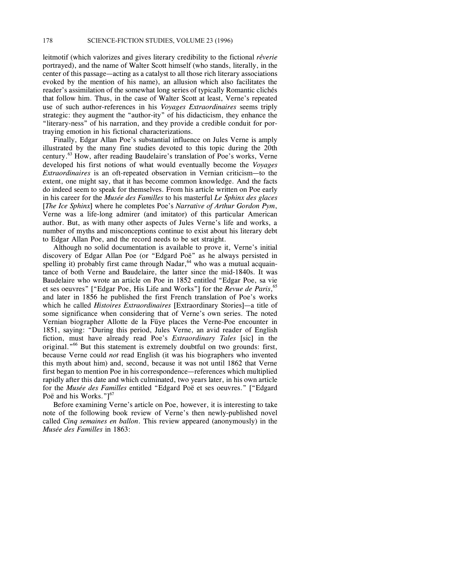leitmotif (which valorizes and gives literary credibility to the fictional *rêverie* portrayed), and the name of Walter Scott himself (who stands, literally, in the center of this passage—acting as a catalyst to all those rich literary associations evoked by the mention of his name), an allusion which also facilitates the reader's assimilation of the somewhat long series of typically Romantic clichés that follow him. Thus, in the case of Walter Scott at least, Verne's repeated use of such author-references in his *Voyages Extraordinaires* seems triply strategic: they augment the "author-ity" of his didacticism, they enhance the "literary-ness" of his narration, and they provide a credible conduit for portraying emotion in his fictional characterizations.

Finally, Edgar Allan Poe's substantial influence on Jules Verne is amply illustrated by the many fine studies devoted to this topic during the 20th century. <sup>63</sup> How, after reading Baudelaire's translation of Poe's works, Verne developed his first notions of what would eventually become the *Voyages Extraordinaires* is an oft-repeated observation in Vernian criticism—to the extent, one might say, that it has become common knowledge. And the facts do indeed seem to speak for themselves. From his article written on Poe early in his career for the *Musée des Familles* to his masterful *Le Sphinx des glaces* [*The Ice Sphinx*] where he completes Poe's *Narrative of Arthur Gordon Pym*, Verne was a life-long admirer (and imitator) of this particular American author. But, as with many other aspects of Jules Verne's life and works, a number of myths and misconceptions continue to exist about his literary debt to Edgar Allan Poe, and the record needs to be set straight.

Although no solid documentation is available to prove it, Verne's initial discovery of Edgar Allan Poe (or "Edgard Poë" as he always persisted in spelling it) probably first came through Nadar,  $64$  who was a mutual acquaintance of both Verne and Baudelaire, the latter since the mid-1840s. It was Baudelaire who wrote an article on Poe in 1852 entitled "Edgar Poe, sa vie et ses oeuvres" ["Edgar Poe, His Life and Works"] for the *Revue de Paris*, 65 and later in 1856 he published the first French translation of Poe's works which he called *Histoires Extraordinaires* [Extraordinary Stories]—a title of some significance when considering that of Verne's own series. The noted Vernian biographer Allotte de la Füye places the Verne-Poe encounter in 1851, saying: "During this period, Jules Verne, an avid reader of English fiction, must have already read Poe's *Extraordinary Tales* [sic] in the original."<sup>66</sup> But this statement is extremely doubtful on two grounds: first, because Verne could *not* read English (it was his biographers who invented this myth about him) and, second, because it was not until 1862 that Verne first began to mention Poe in his correspondence—references which multiplied rapidly after this date and which culminated, two years later, in his own article for the *Musée des Familles* entitled "Edgard Poë et ses oeuvres." ["Edgard Poë and his Works."]<sup>67</sup>

Before examining Verne's article on Poe, however, it is interesting to take note of the following book review of Verne's then newly-published novel called *Cinq semaines en ballon*. This review appeared (anonymously) in the *Musée des Familles* in 1863: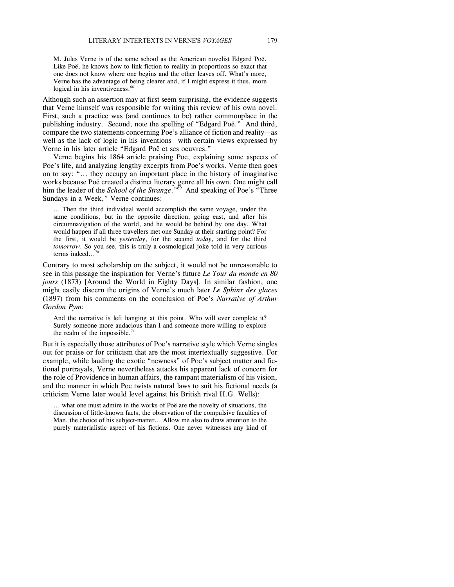M. Jules Verne is of the same school as the American novelist Edgard Poë. Like Poë, he knows how to link fiction to reality in proportions so exact that one does not know where one begins and the other leaves off. What's more, Verne has the advantage of being clearer and, if I might express it thus, more logical in his inventiveness.<sup>68</sup>

Although such an assertion may at first seem surprising, the evidence suggests that Verne himself was responsible for writing this review of his own novel. First, such a practice was (and continues to be) rather commonplace in the publishing industry. Second, note the spelling of "Edgard Poë." And third, compare the two statements concerning Poe's alliance of fiction and reality—as well as the lack of logic in his inventions—with certain views expressed by Verne in his later article "Edgard Poë et ses oeuvres."

Verne begins his 1864 article praising Poe, explaining some aspects of Poe's life, and analyzing lengthy excerpts from Poe's works. Verne then goes on to say: "... they occupy an important place in the history of imaginative works because Poë created a distinct literary genre all his own. One might call him the leader of the *School of the Strange*.<sup>"69</sup> And speaking of Poe's "Three Sundays in a Week," Verne continues:

... Then the third individual would accomplish the same voyage, under the same conditions, but in the opposite direction, going east, and after his circumnavigation of the world, and he would be behind by one day. What would happen if all three travellers met one Sunday at their starting point? For the first, it would be *yesterday*, for the second *today*, and for the third *tomorrow*. So you see, this is truly a cosmological joke told in very curious terms indeed... 70

Contrary to most scholarship on the subject, it would not be unreasonable to see in this passage the inspiration for Verne's future *Le Tour du monde en 80 jours* (1873) [Around the World in Eighty Days]. In similar fashion, one might easily discern the origins of Verne's much later *Le Sphinx des glaces* (1897) from his comments on the conclusion of Poe's *Narrative of Arthur Gordon Pym*:

And the narrative is left hanging at this point. Who will ever complete it? Surely someone more audacious than I and someone more willing to explore the realm of the impossible. $71$ 

But it is especially those attributes of Poe's narrative style which Verne singles out for praise or for criticism that are the most intertextually suggestive. For example, while lauding the exotic "newness" of Poe's subject matter and fictional portrayals, Verne nevertheless attacks his apparent lack of concern for the role of Providence in human affairs, the rampant materialism of his vision, and the manner in which Poe twists natural laws to suit his fictional needs (a criticism Verne later would level against his British rival H.G. Wells):

... what one must admire in the works of Poë are the novelty of situations, the discussion of little-known facts, the observation of the compulsive faculties of Man, the choice of his subject-matter... Allow me also to draw attention to the purely materialistic aspect of his fictions. One never witnesses any kind of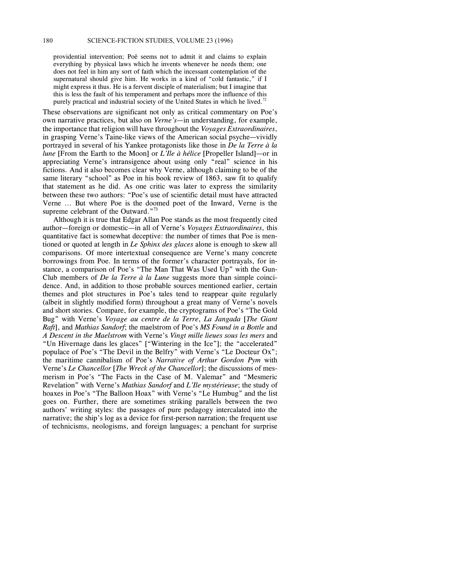providential intervention; Poë seems not to admit it and claims to explain everything by physical laws which he invents whenever he needs them; one does not feel in him any sort of faith which the incessant contemplation of the supernatural should give him. He works in a kind of "cold fantastic," if I might express it thus. He is a fervent disciple of materialism; but I imagine that this is less the fault of his temperament and perhaps more the influence of this purely practical and industrial society of the United States in which he lived.<sup>72</sup>

These observations are significant not only as critical commentary on Poe's own narrative practices, but also on *Verne's*—in understanding, for example, the importance that religion will have throughout the *Voyages Extraordinaires*, in grasping Verne's Taine-like views of the American social psyche—vividly portrayed in several of his Yankee protagonists like those in *De la Terre à la lune* [From the Earth to the Moon] or *L'Ile à hélice* [Propeller Island]—or in appreciating Verne's intransigence about using only "real" science in his fictions. And it also becomes clear why Verne, although claiming to be of the same literary "school" as Poe in his book review of 1863, saw fit to qualify that statement as he did. As one critic was later to express the similarity between these two authors: "Poe's use of scientific detail must have attracted Verne ... But where Poe is the doomed poet of the Inward, Verne is the supreme celebrant of the Outward."<sup>73</sup>

Although it is true that Edgar Allan Poe stands as the most frequently cited author—foreign or domestic—in all of Verne's *Voyages Extraordinaires*, this quantitative fact is somewhat deceptive: the number of times that Poe is mentioned or quoted at length in *Le Sphinx des glaces* alone is enough to skew all comparisons. Of more intertextual consequence are Verne's many concrete borrowings from Poe. In terms of the former's character portrayals, for instance, a comparison of Poe's "The Man That Was Used Up" with the Gun-Club members of *De la Terre à la Lune* suggests more than simple coincidence. And, in addition to those probable sources mentioned earlier, certain themes and plot structures in Poe's tales tend to reappear quite regularly (albeit in slightly modified form) throughout a great many of Verne's novels and short stories. Compare, for example, the cryptograms of Poe's "The Gold Bug" with Verne's *Voyage au centre de la Terre*, *La Jangada* [*The Giant Raft*], and *Mathias Sandorf*; the maelstrom of Poe's *MS Found in a Bottle* and *A Descent in the Maelstrom* with Verne's *Vingt mille lieues sous les mers* and "Un Hivernage dans les glaces" ["Wintering in the Ice"]; the "accelerated" populace of Poe's "The Devil in the Belfry" with Verne's "Le Docteur Ox"; the maritime cannibalism of Poe's *Narrative of Arthur Gordon Pym* with Verne's *Le Chancellor* [*The Wreck of the Chancellor*]; the discussions of mesmerism in Poe's "The Facts in the Case of M. Valemar" and "Mesmeric Revelation" with Verne's *Mathias Sandorf* and *L'Ile mystérieuse*; the study of hoaxes in Poe's "The Balloon Hoax" with Verne's "Le Humbug" and the list goes on. Further, there are sometimes striking parallels between the two authors' writing styles: the passages of pure pedagogy intercalated into the narrative; the ship's log as a device for first-person narration; the frequent use of technicisms, neologisms, and foreign languages; a penchant for surprise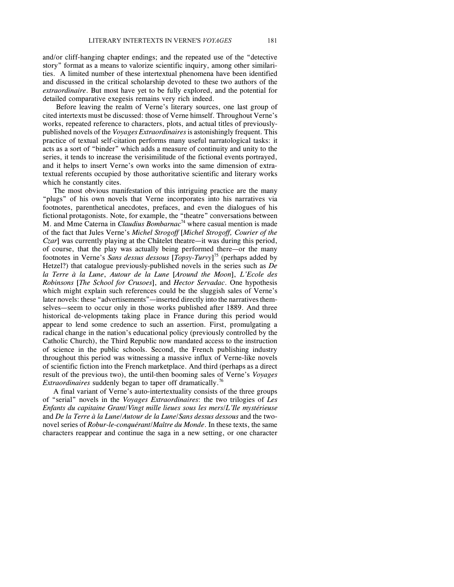and/or cliff-hanging chapter endings; and the repeated use of the "detective story" format as a means to valorize scientific inquiry, among other similarities. A limited number of these intertextual phenomena have been identified and discussed in the critical scholarship devoted to these two authors of the *extraordinaire*. But most have yet to be fully explored, and the potential for detailed comparative exegesis remains very rich indeed.

Before leaving the realm of Verne's literary sources, one last group of cited intertexts must be discussed: those of Verne himself. Throughout Verne's works, repeated reference to characters, plots, and actual titles of previouslypublished novels of the *Voyages Extraordinaires*is astonishingly frequent. This practice of textual self-citation performs many useful narratological tasks: it acts as a sort of "binder" which adds a measure of continuity and unity to the series, it tends to increase the verisimilitude of the fictional events portrayed, and it helps to insert Verne's own works into the same dimension of extratextual referents occupied by those authoritative scientific and literary works which he constantly cites.

The most obvious manifestation of this intriguing practice are the many "plugs" of his own novels that Verne incorporates into his narratives via footnotes, parenthetical anecdotes, prefaces, and even the dialogues of his fictional protagonists. Note, for example, the "theatre" conversations between M. and Mme Caterna in *Claudius Bombarnac* <sup>74</sup> where casual mention is made of the fact that Jules Verne's *Michel Strogoff* [*Michel Strogoff, Courier of the Czar*] was currently playing at the Châtelet theatre—it was during this period, of course, that the play was actually being performed there—or the many footnotes in Verne's *Sans dessus dessous* [*Topsy-Turvy*] <sup>75</sup> (perhaps added by Hetzel?) that catalogue previously-published novels in the series such as *De la Terre à la Lune*, *Autour de la Lune* [*Around the Moon*], *L'Ecole des Robinsons* [*The School for Crusoes*], and *Hector Servadac*. One hypothesis which might explain such references could be the sluggish sales of Verne's later novels: these "advertisements"—inserted directly into the narratives themselves—seem to occur only in those works published after 1889. And three historical de-velopments taking place in France during this period would appear to lend some credence to such an assertion. First, promulgating a radical change in the nation's educational policy (previously controlled by the Catholic Church), the Third Republic now mandated access to the instruction of science in the public schools. Second, the French publishing industry throughout this period was witnessing a massive influx of Verne-like novels of scientific fiction into the French marketplace. And third (perhaps as a direct result of the previous two), the until-then booming sales of Verne's *Voyages Extraordinaires* suddenly began to taper off dramatically. 76

A final variant of Verne's auto-intertextuality consists of the three groups of "serial" novels in the *Voyages Extraordinaires*: the two trilogies of *Les Enfants du capitaine Grant*/*Vingt mille lieues sous les mers*/*L'Ile mystérieuse* and *De la Terre à la Lune*/*Autour de la Lune*/*Sans dessus dessous* and the twonovel series of *Robur-le-conquérant*/*Maître du Monde*. In these texts, the same characters reappear and continue the saga in a new setting, or one character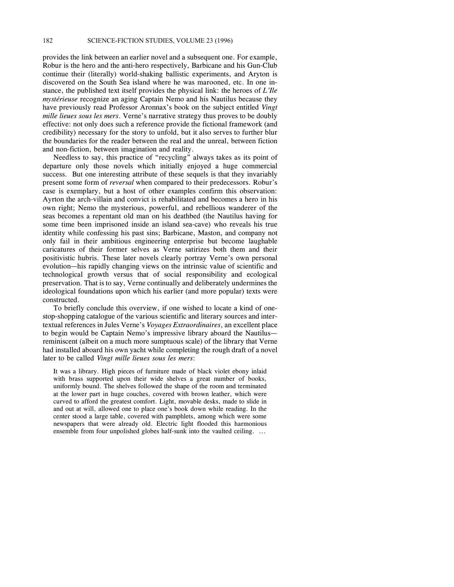provides the link between an earlier novel and a subsequent one. For example, Robur is the hero and the anti-hero respectively, Barbicane and his Gun-Club continue their (literally) world-shaking ballistic experiments, and Aryton is discovered on the South Sea island where he was marooned, etc. In one instance, the published text itself provides the physical link: the heroes of *L'Ile mystérieuse* recognize an aging Captain Nemo and his Nautilus because they have previously read Professor Aronnax's book on the subject entitled *Vingt mille lieues sous les mers*. Verne's narrative strategy thus proves to be doubly effective: not only does such a reference provide the fictional framework (and credibility) necessary for the story to unfold, but it also serves to further blur the boundaries for the reader between the real and the unreal, between fiction and non-fiction, between imagination and reality.

Needless to say, this practice of "recycling" always takes as its point of departure only those novels which initially enjoyed a huge commercial success. But one interesting attribute of these sequels is that they invariably present some form of *reversal* when compared to their predecessors. Robur's case is exemplary, but a host of other examples confirm this observation: Ayrton the arch-villain and convict is rehabilitated and becomes a hero in his own right; Nemo the mysterious, powerful, and rebellious wanderer of the seas becomes a repentant old man on his deathbed (the Nautilus having for some time been imprisoned inside an island sea-cave) who reveals his true identity while confessing his past sins; Barbicane, Maston, and company not only fail in their ambitious engineering enterprise but become laughable caricatures of their former selves as Verne satirizes both them and their positivistic hubris. These later novels clearly portray Verne's own personal evolution—his rapidly changing views on the intrinsic value of scientific and technological growth versus that of social responsibility and ecological preservation. That is to say, Verne continually and deliberately undermines the ideological foundations upon which his earlier (and more popular) texts were constructed.

To briefly conclude this overview, if one wished to locate a kind of onestop-shopping catalogue of the various scientific and literary sources and intertextual references in Jules Verne's *Voyages Extraordinaires*, an excellent place to begin would be Captain Nemo's impressive library aboard the Nautilus reminiscent (albeit on a much more sumptuous scale) of the library that Verne had installed aboard his own yacht while completing the rough draft of a novel later to be called *Vingt mille lieues sous les mers*:

It was a library. High pieces of furniture made of black violet ebony inlaid with brass supported upon their wide shelves a great number of books, uniformly bound. The shelves followed the shape of the room and terminated at the lower part in huge couches, covered with brown leather, which were curved to afford the greatest comfort. Light, movable desks, made to slide in and out at will, allowed one to place one's book down while reading. In the center stood a large table, covered with pamphlets, among which were some newspapers that were already old. Electric light flooded this harmonious ensemble from four unpolished globes half-sunk into the vaulted ceiling. ...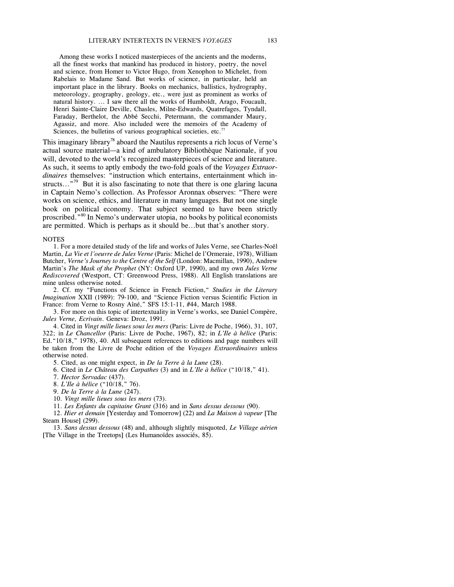Among these works I noticed masterpieces of the ancients and the moderns, all the finest works that mankind has produced in history, poetry, the novel and science, from Homer to Victor Hugo, from Xenophon to Michelet, from Rabelais to Madame Sand. But works of science, in particular, held an important place in the library. Books on mechanics, ballistics, hydrography, meteorology, geography, geology, etc., were just as prominent as works of natural history. ... I saw there all the works of Humboldt, Arago, Foucault, Henri Sainte-Claire Deville, Chasles, Milne-Edwards, Quatrefages, Tyndall, Faraday, Berthelot, the Abbé Secchi, Petermann, the commander Maury, Agassiz, and more. Also included were the memoirs of the Academy of Sciences, the bulletins of various geographical societies, etc.<sup>77</sup>

This imaginary library<sup>78</sup> aboard the Nautilus represents a rich locus of Verne's actual source material—a kind of ambulatory Bibliothèque Nationale, if you will, devoted to the world's recognized masterpieces of science and literature. As such, it seems to aptly embody the two-fold goals of the *Voyages Extraordinaires* themselves: "instruction which entertains, entertainment which instructs..."<sup>79</sup> But it is also fascinating to note that there is one glaring lacuna in Captain Nemo's collection. As Professor Aronnax observes: "There were works on science, ethics, and literature in many languages. But not one single book on political economy. That subject seemed to have been strictly proscribed."<sup>80</sup> In Nemo's underwater utopia, no books by political economists are permitted. Which is perhaps as it should be...but that's another story.

#### **NOTES**

1. For a more detailed study of the life and works of Jules Verne, see Charles-Noël Martin, *La Vie et l'oeuvre de Jules Verne* (Paris: Michel de l'Ormeraie, 1978), William Butcher, *Verne's Journey to the Centre of the Self* (London: Macmillan, 1990), Andrew Martin's *The Mask of the Prophet* (NY: Oxford UP, 1990), and my own *Jules Verne Rediscovered* (Westport, CT: Greenwood Press, 1988). All English translations are mine unless otherwise noted.

2. Cf. my "Functions of Science in French Fiction," *Studies in the Literary Imagination* XXII (1989): 79-100, and "Science Fiction versus Scientific Fiction in France: from Verne to Rosny Aîné," SFS 15:1-11, #44, March 1988.

3. For more on this topic of intertextuality in Verne's works, see Daniel Compère, *Jules Verne, Ecrivain*. Geneva: Droz, 1991.

4. Cited in *Vingt mille lieues sous les mers* (Paris: Livre de Poche, 1966), 31, 107, 322; in *Le Chancellor* (Paris: Livre de Poche, 1967), 82; in *L'Ile à hélice* (Paris: Ed."10/18," 1978), 40. All subsequent references to editions and page numbers will be taken from the Livre de Poche edition of the *Voyages Extraordinaires* unless otherwise noted.

5. Cited, as one might expect, in *De la Terre à la Lune* (28).

6. Cited in *Le Château des Carpathes* (3) and in *L'Ile à hélice* ("10/18," 41).

7. *Hector Servadac* (437).

8. *L'Ile à hélice* ("10/18," 76).

9. *De la Terre à la Lune* (247).

10. *Vingt mille lieues sous les mers* (73).

11. *Les Enfants du capitaine Grant* (316) and in *Sans dessus dessous* (90).

12. *Hier et demain* [Yesterday and Tomorrow] (22) and *La Maison à vapeur* [The Steam House] (299).

13. *Sans dessus dessous* (48) and, although slightly misquoted, *Le Village aérien* [The Village in the Treetops] (Les Humanoïdes associés, 85).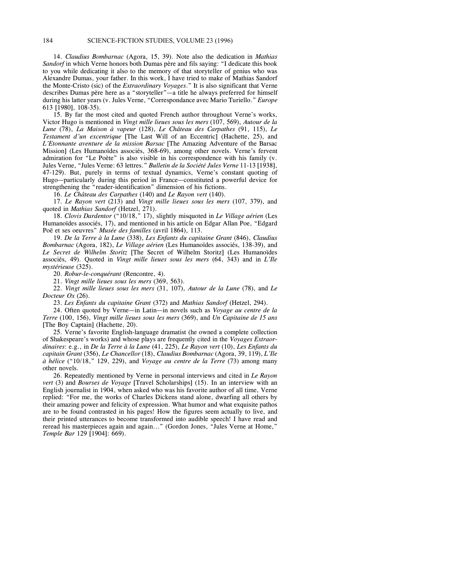14. *Claudius Bombarnac* (Agora, 15, 39). Note also the dedication in *Mathias Sandorf* in which Verne honors both Dumas père and fils saying: "I dedicate this book to you while dedicating it also to the memory of that storyteller of genius who was Alexandre Dumas, your father. In this work, I have tried to make of Mathias Sandorf the Monte-Cristo (sic) of the *Extraordinary Voyages*." It is also significant that Verne describes Dumas père here as a "storyteller"—a title he always preferred for himself during his latter years (v. Jules Verne, "Correspondance avec Mario Turiello." *Europe* 613 [1980], 108-35).

15. By far the most cited and quoted French author throughout Verne's works, Victor Hugo is mentioned in *Vingt mille lieues sous les mers* (107, 569), *Autour de la Lune* (78), *La Maison à vapeur* (128), *Le Château des Carpathes* (91, 115), *Le Testament d'un excentrique* [The Last Will of an Eccentric] (Hachette, 25), and *L'Etonnante aventure de la mission Barsac* [The Amazing Adventure of the Barsac Mission] (Les Humanoïdes associés, 368-69), among other novels. Verne's fervent admiration for "Le Poète" is also visible in his correspondence with his family (v. Jules Verne, "Jules Verne: 63 lettres." *Bulletin de la Société Jules Verne* 11-13 [1938], 47-129). But, purely in terms of textual dynamics, Verne's constant quoting of Hugo—particularly during this period in France—constituted a powerful device for strengthening the "reader-identification" dimension of his fictions.

16. *Le Château des Carpathes* (140) and *Le Rayon vert* (140).

17. *Le Rayon vert* (213) and *Vingt mille lieues sous les mers* (107, 379), and quoted in *Mathias Sandorf* (Hetzel, 271).

18. *Clovis Dardentor* ("10/18," 17), slightly misquoted in *Le Village aérien* (Les Humanoïdes associés, 17), and mentioned in his article on Edgar Allan Poe, "Edgard Poë et ses oeuvres" *Musée des familles* (avril 1864), 113.

19. *De la Terre à la Lune* (338), *Les Enfants du capitaine Grant* (846), *Claudius Bombarnac* (Agora, 182), *Le Village aérien* (Les Humanoïdes associés, 138-39), and *Le Secret de Wilhelm Storitz* [The Secret of Wilhelm Storitz] (Les Humanoïdes associés, 49). Quoted in *Vingt mille lieues sous les mers* (64, 343) and in *L'Ile mystérieuse* (325).

20. *Robur-le-conquérant* (Rencontre, 4).

21. *Vingt mille lieues sous les mers* (369, 563).

22. *Vingt mille lieues sous les mers* (31, 107), *Autour de la Lune* (78), and *Le Docteur Ox* (26).

23. *Les Enfants du capitaine Grant* (372) and *Mathias Sandorf* (Hetzel, 294).

24. Often quoted by Verne—in Latin—in novels such as *Voyage au centre de la Terre* (100, 156), *Vingt mille lieues sous les mers* (369), and *Un Capitaine de 15 ans* [The Boy Captain] (Hachette, 20).

25. Verne's favorite English-language dramatist (he owned a complete collection of Shakespeare's works) and whose plays are frequently cited in the *Voyages Extraordinaires*: e.g., in *De la Terre à la Lune* (41, 225), *Le Rayon vert* (10), *Les Enfants du capitain Grant* (356), *Le Chancellor* (18), *Claudius Bombarnac* (Agora, 39, 119), *L'Ile à hélice* ("10/18," 129, 229), and *Voyage au centre de la Terre* (73) among many other novels.

26. Repeatedly mentioned by Verne in personal interviews and cited in *Le Rayon vert* (3) and *Bourses de Voyage* [Travel Scholarships] (15). In an interview with an English journalist in 1904, when asked who was his favorite author of all time, Verne replied: "For me, the works of Charles Dickens stand alone, dwarfing all others by their amazing power and felicity of expression. What humor and what exquisite pathos are to be found contrasted in his pages! How the figures seem actually to live, and their printed utterances to become transformed into audible speech! I have read and reread his masterpieces again and again..." (Gordon Jones, "Jules Verne at Home," *Temple Bar* 129 [1904]: 669).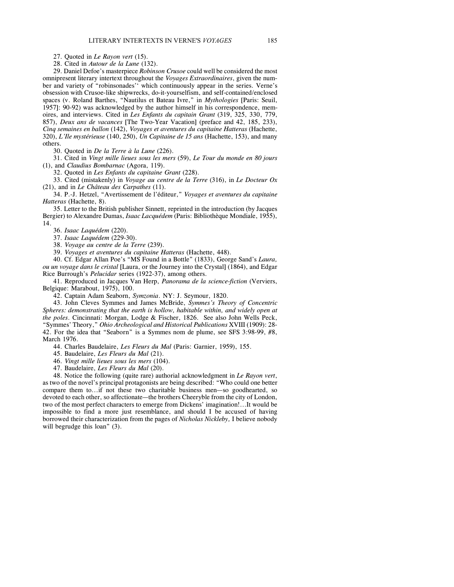27. Quoted in *Le Rayon vert* (15).

28. Cited in *Autour de la Lune* (132).

29. Daniel Defoe's masterpiece *Robinson Crusoe* could well be considered the most omnipresent literary intertext throughout the *Voyages Extraordinaires*, given the number and variety of "robinsonades'' which continuously appear in the series. Verne's obsession with Crusoe-like shipwrecks, do-it-yourselfism, and self-contained/enclosed spaces (v. Roland Barthes, "Nautilus et Bateau Ivre," in *Mythologies* [Paris: Seuil, 1957]: 90-92) was acknowledged by the author himself in his correspondence, memoires, and interviews. Cited in *Les Enfants du capitain Grant* (319, 325, 330, 779, 857), *Deux ans de vacances* [The Two-Year Vacation] (preface and 42, 185, 233), *Cinq semaines en ballon* (142), *Voyages et aventures du capitaine Hatteras* (Hachette, 320), *L'Ile mystérieuse* (140, 250), *Un Capitaine de 15 ans* (Hachette, 153), and many others.

30. Quoted in *De la Terre à la Lune* (226).

31. Cited in *Vingt mille lieues sous les mers* (59), *Le Tour du monde en 80 jours* (1), and *Claudius Bombarnac* (Agora, 119).

32. Quoted in *Les Enfants du capitaine Grant* (228).

33. Cited (mistakenly) in *Voyage au centre de la Terre* (316), in *Le Docteur Ox* (21), and in *Le Château des Carpathes* (11).

34. P.-J. Hetzel, "Avertissement de l'éditeur," *Voyages et aventures du capitaine Hatteras* (Hachette, 8).

35. Letter to the British publisher Sinnett, reprinted in the introduction (by Jacques Bergier) to Alexandre Dumas, *Isaac Lacquédem* (Paris: Bibliothèque Mondiale, 1955), 14.

36. *Isaac Laquédem* (220).

37. *Isaac Laquédem* (229-30).

38. *Voyage au centre de la Terre* (239).

39. *Voyages et aventures du capitaine Hatteras* (Hachette, 448).

40. Cf. Edgar Allan Poe's "MS Found in a Bottle" (1833), George Sand's *Laura, ou un voyage dans le cristal* [Laura, or the Journey into the Crystal] (1864), and Edgar Rice Burrough's *Pelucidar* series (1922-37), among others.

41. Reproduced in Jacques Van Herp, *Panorama de la science-fiction* (Verviers, Belgique: Marabout, 1975), 100.

42. Captain Adam Seaborn, *Symzonia*. NY: J. Seymour, 1820.

43. John Cleves Symmes and James McBride, *Symmes's Theory of Concentric Spheres: demonstrating that the earth is hollow, habitable within, and widely open at the poles*. Cincinnati: Morgan, Lodge & Fischer, 1826. See also John Wells Peck, "Symmes' Theory," *Ohio Archeological and Historical Publications* XVIII (1909): 28- 42. For the idea that "Seaborn" is a Symmes nom de plume, see SFS 3:98-99, #8, March 1976.

44. Charles Baudelaire, *Les Fleurs du Mal* (Paris: Garnier, 1959), 155.

45. Baudelaire, *Les Fleurs du Mal* (21).

46. *Vingt mille lieues sous les mers* (104).

47. Baudelaire, *Les Fleurs du Mal* (20).

48. Notice the following (quite rare) authorial acknowledgment in *Le Rayon vert*, as two of the novel's principal protagonists are being described: "Who could one better compare them to...if not these two charitable business men—so goodhearted, so devoted to each other, so affectionate—the brothers Cheeryble from the city of London, two of the most perfect characters to emerge from Dickens' imagination!...It would be impossible to find a more just resemblance, and should I be accused of having borrowed their characterization from the pages of *Nicholas Nickleby,* I believe nobody will begrudge this loan" (3).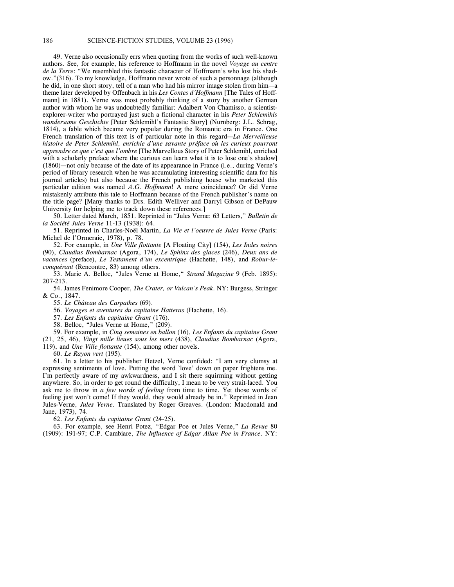49. Verne also occasionally errs when quoting from the works of such well-known authors. See, for example, his reference to Hoffmann in the novel *Voyage au centre de la Terre*: "We resembled this fantastic character of Hoffmann's who lost his shadow."(316). To my knowledge, Hoffmann never wrote of such a personnage (although he did, in one short story, tell of a man who had his mirror image stolen from him—a theme later developed by Offenbach in his *Les Contes d'Hoffmann* [The Tales of Hoffmann] in 1881). Verne was most probably thinking of a story by another German author with whom he was undoubtedly familiar: Adalbert Von Chamisso, a scientistexplorer-writer who portrayed just such a fictional character in his *Peter Schlemihls wundersame Geschichte* [Peter Schlemihl's Fantastic Story] (Nurnberg: J.L. Schrag, 1814), a fable which became very popular during the Romantic era in France. One French translation of this text is of particular note in this regard—*La Merveilleuse histoire de Peter Schlemihl, enrichie d'une savante préface où les curieux pourront apprendre ce que c'est que l'ombre* [The Marvellous Story of Peter Schlemihl, enriched with a scholarly preface where the curious can learn what it is to lose one's shadow] (1860)—not only because of the date of its appearance in France (i.e., during Verne's period of library research when he was accumulating interesting scientific data for his journal articles) but also because the French publishing house who marketed this particular edition was named *A.G. Hoffmann*! A mere coincidence? Or did Verne mistakenly attribute this tale to Hoffmann because of the French publisher's name on the title page? [Many thanks to Drs. Edith Welliver and Darryl Gibson of DePauw University for helping me to track down these references.]

50. Letter dated March, 1851. Reprinted in "Jules Verne: 63 Letters," *Bulletin de la Société Jules Verne* 11-13 (1938): 64.

51. Reprinted in Charles-Noël Martin, *La Vie et l'oeuvre de Jules Verne* (Paris: Michel de l'Ormeraie, 1978), p. 78.

52. For example, in *Une Ville flottante* [A Floating City] (154), *Les Indes noires* (90), *Claudius Bombarnac* (Agora, 174), *Le Sphinx des glaces* (246), *Deux ans de vacances* (preface), *Le Testament d'un excentrique* (Hachette, 148), and *Robur-leconquérant* (Rencontre, 83) among others.

53. Marie A. Belloc, "Jules Verne at Home," *Strand Magazine* 9 (Feb. 1895): 207-213.

54. James Fenimore Cooper, *The Crater, or Vulcan's Peak*. NY: Burgess, Stringer & Co., 1847.

55. *Le Château des Carpathes* (69).

56. *Voyages et aventures du capitaine Hatteras* (Hachette, 16).

57. *Les Enfants du capitaine Grant* (176).

58. Belloc, "Jules Verne at Home," (209).

59. For example, in *Cinq semaines en ballon* (16), *Les Enfants du capitaine Grant* (21, 25, 46), *Vingt mille lieues sous les mers* (438), *Claudius Bombarnac* (Agora, 119), and *Une Ville flottante* (154), among other novels.

60. *Le Rayon vert* (195).

61. In a letter to his publisher Hetzel, Verne confided: "I am very clumsy at expressing sentiments of love. Putting the word `love' down on paper frightens me. I'm perfectly aware of my awkwardness, and I sit there squirming without getting anywhere. So, in order to get round the difficulty, I mean to be very strait-laced. You ask me to throw in *a few words of feeling* from time to time. Yet those words of feeling just won't come! If they would, they would already be in." Reprinted in Jean Jules-Verne, *Jules Verne*. Translated by Roger Greaves. (London: Macdonald and Jane, 1973), 74.

62. *Les Enfants du capitaine Grant* (24-25).

63. For example, see Henri Potez, "Edgar Poe et Jules Verne," *La Revue* 80 (1909): 191-97; C.P. Cambiare, *The Influence of Edgar Allan Poe in France*. NY: